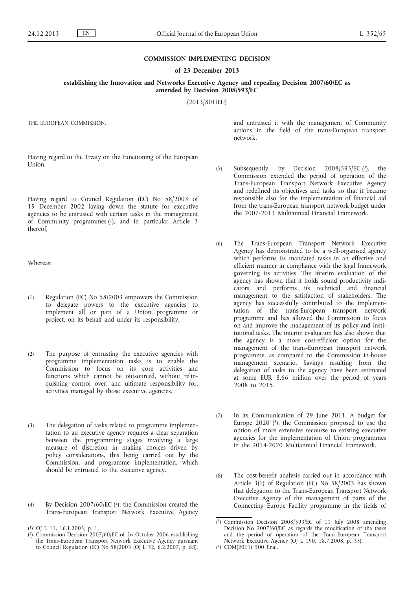#### **COMMISSION IMPLEMENTING DECISION**

### **of 23 December 2013**

**establishing the Innovation and Networks Executive Agency and repealing Decision 2007/60/EC as amended by Decision 2008/593/EC**

(2013/801/EU)

THE EUROPEAN COMMISSION,

Having regard to the Treaty on the Functioning of the European Union,

Having regard to Council Regulation (EC) No 58/2003 of 19 December 2002 laying down the statute for executive agencies to be entrusted with certain tasks in the management of Community programmes (1), and in particular Article 3 thereof,

Whereas:

- (1) Regulation (EC) No 58/2003 empowers the Commission to delegate powers to the executive agencies to implement all or part of a Union programme or project, on its behalf and under its responsibility.
- (2) The purpose of entrusting the executive agencies with programme implementation tasks is to enable the Commission to focus on its core activities and functions which cannot be outsourced, without relinquishing control over, and ultimate responsibility for, activities managed by those executive agencies.
- (3) The delegation of tasks related to programme implementation to an executive agency requires a clear separation between the programming stages involving a large measure of discretion in making choices driven by policy considerations, this being carried out by the Commission, and programme implementation, which should be entrusted to the executive agency.
- (4) By Decision 2007/60/EC (2), the Commission created the Trans-European Transport Network Executive Agency

and entrusted it with the management of Community actions in the field of the trans-European transport network.

- (5) Subsequently, by Decision  $2008/593/EC$  (3), the Commission extended the period of operation of the Trans-European Transport Network Executive Agency and redefined its objectives and tasks so that it became responsible also for the implementation of financial aid from the trans-European transport network budget under the 2007-2013 Multiannual Financial Framework.
- (6) The Trans-European Transport Network Executive Agency has demonstrated to be a well-organised agency which performs its mandated tasks in an effective and efficient manner in compliance with the legal framework governing its activities. The interim evaluation of the agency has shown that it holds sound productivity indicators and performs its technical and financial management to the satisfaction of stakeholders. The agency has successfully contributed to the implementation of the trans-European transport network programme and has allowed the Commission to focus on and improve the management of its policy and institutional tasks. The interim evaluation has also shown that the agency is a more cost-efficient option for the management of the trans-European transport network programme, as compared to the Commission in-house management scenario. Savings resulting from the delegation of tasks to the agency have been estimated at some EUR 8,66 million over the period of years 2008 to 2015.
- (7) In its Communication of 29 June 2011 'A budget for Europe 2020' (4), the Commission proposed to use the option of more extensive recourse to existing executive agencies for the implementation of Union programmes in the 2014-2020 Multiannual Financial Framework.
- (8) The cost-benefit analysis carried out in accordance with Article 3(1) of Regulation (EC) No 58/2003 has shown that delegation to the Trans-European Transport Network Executive Agency of the management of parts of the Connecting Europe Facility programme in the fields of

<sup>(</sup> 1) OJ L 11, 16.1.2003, p. 1.

<sup>(</sup> 2) Commission Decision 2007/60/EC of 26 October 2006 establishing the Trans-European Transport Network Executive Agency pursuant to Council Regulation (EC) No 58/2003 (OJ L 32, 6.2.2007, p. 88).

<sup>(</sup> 3) Commission Decision 2008/593/EC of 11 July 2008 amending Decision No 2007/60/EC as regards the modification of the tasks and the period of operation of the Trans-European Transport Network Executive Agency (OJ L 190, 18.7.2008, p. 35).

<sup>(</sup> 4) COM(2011) 500 final.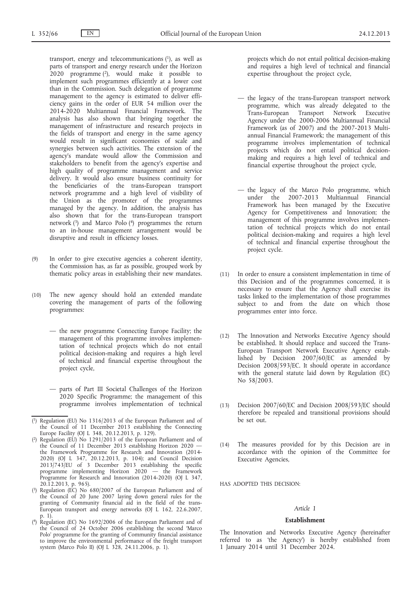transport, energy and telecommunications  $(1)$ , as well as parts of transport and energy research under the Horizon 2020 programme (2), would make it possible to implement such programmes efficiently at a lower cost than in the Commission. Such delegation of programme management to the agency is estimated to deliver efficiency gains in the order of EUR 54 million over the 2014-2020 Multiannual Financial Framework. The analysis has also shown that bringing together the management of infrastructure and research projects in the fields of transport and energy in the same agency would result in significant economies of scale and synergies between such activities. The extension of the agency's mandate would allow the Commission and stakeholders to benefit from the agency's expertise and high quality of programme management and service delivery. It would also ensure business continuity for the beneficiaries of the trans-European transport network programme and a high level of visibility of the Union as the promoter of the programmes managed by the agency. In addition, the analysis has also shown that for the trans-European transport network  $(3)$  and Marco Polo  $(4)$  programmes the return to an in-house management arrangement would be disruptive and result in efficiency losses.

- (9) In order to give executive agencies a coherent identity, the Commission has, as far as possible, grouped work by thematic policy areas in establishing their new mandates.
- (10) The new agency should hold an extended mandate covering the management of parts of the following programmes:
	- the new programme Connecting Europe Facility; the management of this programme involves implementation of technical projects which do not entail political decision-making and requires a high level of technical and financial expertise throughout the project cycle,
	- parts of Part III Societal Challenges of the Horizon 2020 Specific Programme; the management of this programme involves implementation of technical
- ( 1) Regulation (EU) No 1316/2013 of the European Parliament and of the Council of 11 December 2013 establishing the Connecting Europe Facility (OJ L 348, 20.12.2013, p. 129).
- ( 2) Regulation (EU) No 1291/2013 of the European Parliament and of the Council of 11 December 2013 establishing Horizon 2020 the Framework Programme for Research and Innovation (2014- 2020) (OJ L 347, 20.12.2013, p. 104); and Council Decision 2013/743/EU of 3 December 2013 establishing the specific programme implementing Horizon 2020 — the Framework Programme for Research and Innovation (2014-2020) (OJ L 347, 20.12.2013, p. 965).
- ( 3) Regulation (EC) No 680/2007 of the European Parliament and of the Council of 20 June 2007 laying down general rules for the granting of Community financial aid in the field of the trans-European transport and energy networks (OJ L 162, 22.6.2007, p. 1).
- ( 4) Regulation (EC) No 1692/2006 of the European Parliament and of the Council of 24 October 2006 establishing the second 'Marco Polo' programme for the granting of Community financial assistance to improve the environmental performance of the freight transport system (Marco Polo II) (OJ L 328, 24.11.2006, p. 1).

projects which do not entail political decision-making and requires a high level of technical and financial expertise throughout the project cycle,

- the legacy of the trans-European transport network programme, which was already delegated to the Trans-European Transport Network Executive Agency under the 2000-2006 Multiannual Financial Framework (as of 2007) and the 2007-2013 Multiannual Financial Framework; the management of this programme involves implementation of technical projects which do not entail political decisionmaking and requires a high level of technical and financial expertise throughout the project cycle,
- the legacy of the Marco Polo programme, which under the 2007-2013 Multiannual Financial Framework has been managed by the Executive Agency for Competitiveness and Innovation; the management of this programme involves implementation of technical projects which do not entail political decision-making and requires a high level of technical and financial expertise throughout the project cycle.
- (11) In order to ensure a consistent implementation in time of this Decision and of the programmes concerned, it is necessary to ensure that the Agency shall exercise its tasks linked to the implementation of those programmes subject to and from the date on which those programmes enter into force.
- (12) The Innovation and Networks Executive Agency should be established. It should replace and succeed the Trans-European Transport Network Executive Agency established by Decision 2007/60/EC as amended by Decision 2008/593/EC. It should operate in accordance with the general statute laid down by Regulation (EC) No 58/2003.
- (13) Decision 2007/60/EC and Decision 2008/593/EC should therefore be repealed and transitional provisions should be set out.
- (14) The measures provided for by this Decision are in accordance with the opinion of the Committee for Executive Agencies,

HAS ADOPTED THIS DECISION:

## *Article 1*

#### **Establishment**

The Innovation and Networks Executive Agency (hereinafter referred to as 'the Agency') is hereby established from 1 January 2014 until 31 December 2024.